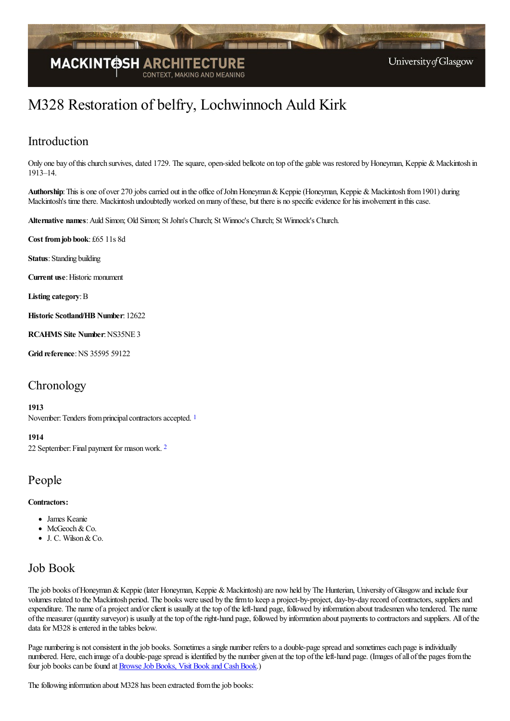

# M328 Restoration of belfry, Lochwinnoch Auld Kirk

### Introduction

Only one bay of this church survives, dated 1729. The square, open-sided bellcote on top of the gable was restored by Honeyman, Keppie & Mackintosh in 1913–14.

Authorship: This is one of over 270 jobs carried out in the office of John Honeyman & Keppie (Honeyman, Keppie & Mackintosh from 1901) during Mackintosh's time there. Mackintosh undoubtedly worked on many of these, but there is no specific evidence for his involvement in this case.

**Alternative names**:Auld Simon; Old Simon; StJohn's Church; St Winnoc's Church; St Winnock's Church.

**Cost fromjob book**: £65 11s 8d

**Status**: Standing building

**Current use: Historic monument** 

**Listing category**:B

**Historic Scotland/HB Number**: 12622

**RCAHMS Site Number**:NS35NE 3

**Grid reference: NS 35595 59122** 

### **Chronology**

#### <span id="page-0-0"></span>**1913**

November: Tenders from principal contractors accepted. <sup>[1](#page-1-0)</sup>

#### <span id="page-0-1"></span>**1914**

[2](#page-1-1)2 September: Final payment for mason work. <sup>2</sup>

#### People

#### **Contractors:**

- James Keanie
- McGeoch & Co.
- J. C. Wilson&Co.

### Job Book

The job books of Honeyman & Keppie (later Honeyman, Keppie & Mackintosh) are now held by The Hunterian, University of Glasgow and include four volumes related to the Mackintosh period. The books were used by the firm to keep a project-by-project, day-by-day record of contractors, suppliers and expenditure. The name of a project and/or client is usually at the top of the left-hand page, followed by information about tradesmen who tendered. The name ofthe measurer (quantity surveyor) is usually at thetop oftheright-hand page, followed by information about payments to contractorsand suppliers. All ofthe data for M328 is entered in the tables below.

Page numbering is not consistent in the job books. Sometimes a single number refers to a double-page spread and sometimes each page is individually numbered. Here, each image of a double-page spread is identified by the number given at the top of the left-hand page. (Images of all of the pages from the four job books can be found at **Browse Job Books**, Visit Book and Cash Book.)

The following information about M328 has been extracted from the job books: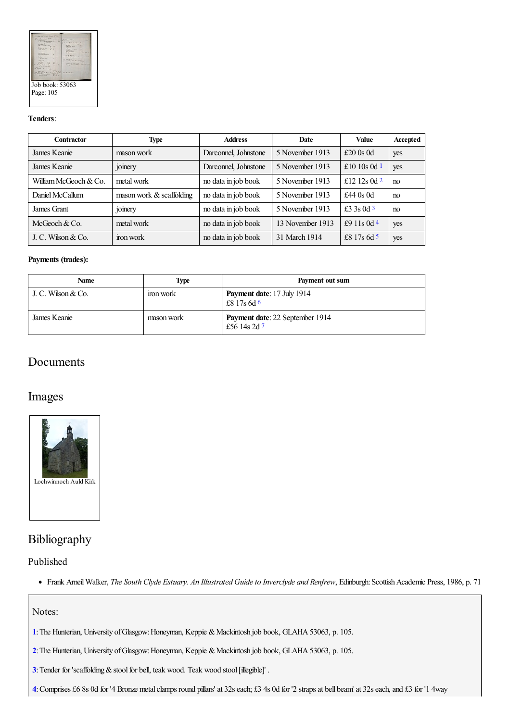

#### **Tenders**:

<span id="page-1-5"></span><span id="page-1-4"></span>

| <b>Contractor</b>     | <b>Type</b>              | <b>Address</b>       | Date             | <b>Value</b>   | Accepted |
|-----------------------|--------------------------|----------------------|------------------|----------------|----------|
| James Keanie          | mason work               | Darconnel, Johnstone | 5 November 1913  | £20 $0s$ 0d    | yes      |
| James Keanie          | <i>s</i> omery           | Darconnel, Johnstone | 5 November 1913  | £10 10s 0d $1$ | yes      |
| William McGeoch & Co. | metal work               | no data in job book  | 5 November 1913  | £12 12s 0d $2$ | no       |
| Daniel McCallum       | mason work & scaffolding | no data in job book  | 5 November 1913  | £44 $0s$ 0d    | no       |
| James Grant           | <sub>1</sub> omery       | no data in job book  | 5 November 1913  | £3 3s 0d 3     | no       |
| McGeoch & Co.         | metal work               | no data in job book  | 13 November 1913 | £9 11s 0d 4    | yes      |
| J. C. Wilson $& Co.$  | iron work                | no data in job book  | 31 March 1914    | £8 17s 6d 5    | yes      |

#### <span id="page-1-8"></span><span id="page-1-7"></span><span id="page-1-6"></span>**Payments (trades):**

<span id="page-1-9"></span>

| Name               | <b>Type</b> | Payment out sum                                  |
|--------------------|-------------|--------------------------------------------------|
| J. C. Wilson & Co. | ron work    | <b>Payment date:</b> 17 July 1914<br>£8 17s 6d 6 |
| James Keanie       | mason work  | Payment date: 22 September 1914<br>£56 14s 2d 7  |

### <span id="page-1-10"></span>Documents

### Images



### Bibliography

#### Published

Frank ArneilWalker, *The South Clyde Estuary. An Illustrated Guideto Inverclyde and Renfrew*, Edinburgh:ScottishAcademic Press, 1986, p. 71

#### Notes:

- <span id="page-1-0"></span>[1](#page-0-0): The Hunterian, University of Glasgow: Honeyman, Keppie & Mackintosh job book, GLAHA 53063, p. 105.
- <span id="page-1-1"></span>[2](#page-0-1): The Hunterian, University of Glasgow: Honeyman, Keppie & Mackintosh job book, GLAHA 53063, p. 105.
- <span id="page-1-2"></span>[3](#page-1-4): Tender for 'scaffolding & stool for bell, teak wood. Teak wood stool [illegible]'.
- <span id="page-1-3"></span>[4](#page-1-5): Comprises £6 8s 0d for '4 Bronze metal clamps round pillars' at 32s each; £3 4s 0d for '2 straps at bell beam' at 32s each, and £3 for '1 4way